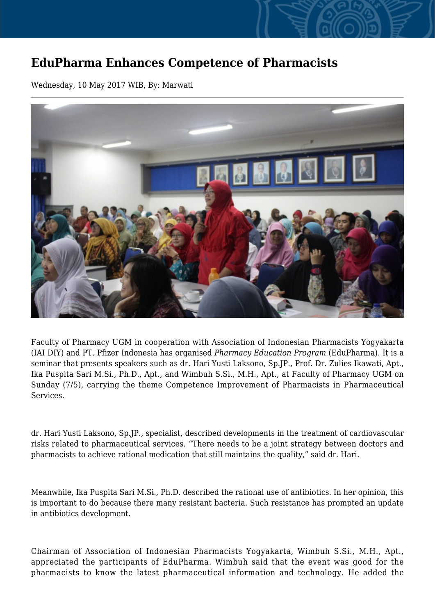## **EduPharma Enhances Competence of Pharmacists**

Wednesday, 10 May 2017 WIB, By: Marwati



Faculty of Pharmacy UGM in cooperation with Association of Indonesian Pharmacists Yogyakarta (IAI DIY) and PT. Pfizer Indonesia has organised *Pharmacy Education Program* (EduPharma). It is a seminar that presents speakers such as dr. Hari Yusti Laksono, Sp.JP., Prof. Dr. Zulies Ikawati, Apt., Ika Puspita Sari M.Si., Ph.D., Apt., and Wimbuh S.Si., M.H., Apt., at Faculty of Pharmacy UGM on Sunday (7/5), carrying the theme Competence Improvement of Pharmacists in Pharmaceutical Services.

dr. Hari Yusti Laksono, Sp.JP., specialist, described developments in the treatment of cardiovascular risks related to pharmaceutical services. "There needs to be a joint strategy between doctors and pharmacists to achieve rational medication that still maintains the quality," said dr. Hari.

Meanwhile, Ika Puspita Sari M.Si., Ph.D. described the rational use of antibiotics. In her opinion, this is important to do because there many resistant bacteria. Such resistance has prompted an update in antibiotics development.

Chairman of Association of Indonesian Pharmacists Yogyakarta, Wimbuh S.Si., M.H., Apt., appreciated the participants of EduPharma. Wimbuh said that the event was good for the pharmacists to know the latest pharmaceutical information and technology. He added the